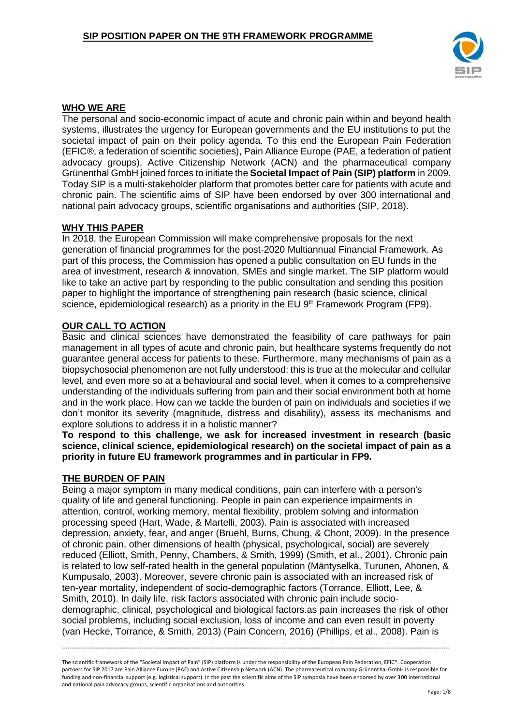

## **WHO WE ARE**

The personal and socio-economic impact of acute and chronic pain within and beyond health systems, illustrates the urgency for European governments and the EU institutions to put the societal impact of pain on their policy agenda. To this end the European Pain Federation (EFIC®, a federation of scientific societies), Pain Alliance Europe (PAE, a federation of patient advocacy groups), Active Citizenship Network (ACN) and the pharmaceutical company Grünenthal GmbH joined forces to initiate the **Societal Impact of Pain (SIP) platform** in 2009. Today SIP is a multi-stakeholder platform that promotes better care for patients with acute and chronic pain. The scientific aims of SIP have been endorsed by over 300 international and national pain advocacy groups, scientific organisations and authorities (SIP, 2018).

### **WHY THIS PAPER**

In 2018, the European Commission will make comprehensive proposals for the next generation of financial programmes for the post-2020 Multiannual Financial Framework. As part of this process, the Commission has opened a public consultation on EU funds in the area of investment, research & innovation, SMEs and single market. The SIP platform would like to take an active part by responding to the public consultation and sending this position paper to highlight the importance of strengthening pain research (basic science, clinical science, epidemiological research) as a priority in the EU 9<sup>th</sup> Framework Program (FP9).

## **OUR CALL TO ACTION**

Basic and clinical sciences have demonstrated the feasibility of care pathways for pain management in all types of acute and chronic pain, but healthcare systems frequently do not guarantee general access for patients to these. Furthermore, many mechanisms of pain as a biopsychosocial phenomenon are not fully understood: this is true at the molecular and cellular level, and even more so at a behavioural and social level, when it comes to a comprehensive understanding of the individuals suffering from pain and their social environment both at home and in the work place. How can we tackle the burden of pain on individuals and societies if we don't monitor its severity (magnitude, distress and disability), assess its mechanisms and explore solutions to address it in a holistic manner?

**To respond to this challenge, we ask for increased investment in research (basic science, clinical science, epidemiological research) on the societal impact of pain as a priority in future EU framework programmes and in particular in FP9.**

### **THE BURDEN OF PAIN**

Being a major symptom in many medical conditions, pain can interfere with a person's quality of life and general functioning. People in pain can experience impairments in attention, control, working memory, mental flexibility, problem solving and information processing speed (Hart, Wade, & Martelli, 2003). Pain is associated with increased depression, anxiety, fear, and anger (Bruehl, Burns, Chung, & Chont, 2009). In the presence of chronic pain, other dimensions of health (physical, psychological, social) are severely reduced (Elliott, Smith, Penny, Chambers, & Smith, 1999) (Smith, et al., 2001). Chronic pain is related to low self-rated health in the general population (Mäntyselkä, Turunen, Ahonen, & Kumpusalo, 2003). Moreover, severe chronic pain is associated with an increased risk of ten-year mortality, independent of socio-demographic factors (Torrance, Elliott, Lee, & Smith, 2010). In daily life, risk factors associated with chronic pain include sociodemographic, clinical, psychological and biological factors.as pain increases the risk of other social problems, including social exclusion, loss of income and can even result in poverty (van Hecke, Torrance, & Smith, 2013) (Pain Concern, 2016) (Phillips, et al., 2008). Pain is

The scientific framework of the "Societal Impact of Pain" (SIP) platform is under the responsibility of the European Pain Federation, EFIC®. Cooperation partners for SIP 2017 are Pain Alliance Europe (PAE) and Active Citizenship Network (ACN). The pharmaceutical company Grünenthal GmbH is responsible for funding and non-financial support (e.g. logistical support). In the past the scientific aims of the SIP symposia have been endorsed by over 300 international and national pain advocacy groups, scientific organisations and authorities.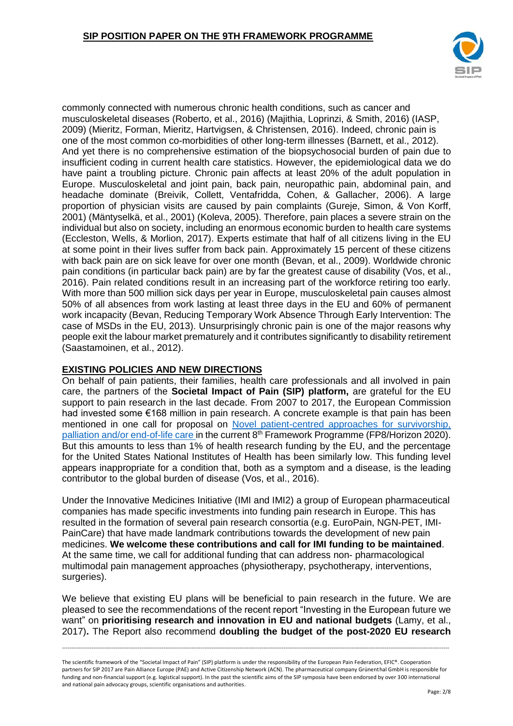

commonly connected with numerous chronic health conditions, such as cancer and musculoskeletal diseases (Roberto, et al., 2016) (Majithia, Loprinzi, & Smith, 2016) (IASP, 2009) (Mieritz, Forman, Mieritz, Hartvigsen, & Christensen, 2016). Indeed, chronic pain is one of the most common co-morbidities of other long-term illnesses (Barnett, et al., 2012). And yet there is no comprehensive estimation of the biopsychosocial burden of pain due to insufficient coding in current health care statistics. However, the epidemiological data we do have paint a troubling picture. Chronic pain affects at least 20% of the adult population in Europe. Musculoskeletal and joint pain, back pain, neuropathic pain, abdominal pain, and headache dominate (Breivik, Collett, Ventafridda, Cohen, & Gallacher, 2006). A large proportion of physician visits are caused by pain complaints (Gureje, Simon, & Von Korff, 2001) (Mäntyselkä, et al., 2001) (Koleva, 2005). Therefore, pain places a severe strain on the individual but also on society, including an enormous economic burden to health care systems (Eccleston, Wells, & Morlion, 2017). Experts estimate that half of all citizens living in the EU at some point in their lives suffer from back pain. Approximately 15 percent of these citizens with back pain are on sick leave for over one month (Bevan, et al., 2009). Worldwide chronic pain conditions (in particular back pain) are by far the greatest cause of disability (Vos, et al., 2016). Pain related conditions result in an increasing part of the workforce retiring too early. With more than 500 million sick days per year in Europe, musculoskeletal pain causes almost 50% of all absences from work lasting at least three days in the EU and 60% of permanent work incapacity (Bevan, Reducing Temporary Work Absence Through Early Intervention: The case of MSDs in the EU, 2013). Unsurprisingly chronic pain is one of the major reasons why people exit the labour market prematurely and it contributes significantly to disability retirement (Saastamoinen, et al., 2012).

# **EXISTING POLICIES AND NEW DIRECTIONS**

On behalf of pain patients, their families, health care professionals and all involved in pain care, the partners of the **Societal Impact of Pain (SIP) platform,** are grateful for the EU support to pain research in the last decade. From 2007 to 2017, the European Commission had invested some €168 million in pain research. A concrete example is that pain has been mentioned in one call for proposal on [Novel patient-centred approaches for survivorship,](http://ec.europa.eu/research/participants/portal/desktop/en/opportunities/h2020/topics/sc1-bhc-23-2018.html)  [palliation and/or end-of-life care](http://ec.europa.eu/research/participants/portal/desktop/en/opportunities/h2020/topics/sc1-bhc-23-2018.html) in the current 8<sup>th</sup> Framework Programme (FP8/Horizon 2020). But this amounts to less than 1% of health research funding by the EU, and the percentage for the United States National Institutes of Health has been similarly low. This funding level appears inappropriate for a condition that, both as a symptom and a disease, is the leading contributor to the global burden of disease (Vos, et al., 2016).

Under the Innovative Medicines Initiative (IMI and IMI2) a group of European pharmaceutical companies has made specific investments into funding pain research in Europe. This has resulted in the formation of several pain research consortia (e.g. EuroPain, NGN-PET, IMI-PainCare) that have made landmark contributions towards the development of new pain medicines. **We welcome these contributions and call for IMI funding to be maintained**. At the same time, we call for additional funding that can address non- pharmacological multimodal pain management approaches (physiotherapy, psychotherapy, interventions, surgeries).

We believe that existing EU plans will be beneficial to pain research in the future. We are pleased to see the recommendations of the recent report "Investing in the European future we want" on **prioritising research and innovation in EU and national budgets** (Lamy, et al., 2017)**.** The Report also recommend **doubling the budget of the post-2020 EU research** 

The scientific framework of the "Societal Impact of Pain" (SIP) platform is under the responsibility of the European Pain Federation, EFIC®. Cooperation partners for SIP 2017 are Pain Alliance Europe (PAE) and Active Citizenship Network (ACN). The pharmaceutical company Grünenthal GmbH is responsible for funding and non-financial support (e.g. logistical support). In the past the scientific aims of the SIP symposia have been endorsed by over 300 international and national pain advocacy groups, scientific organisations and authorities.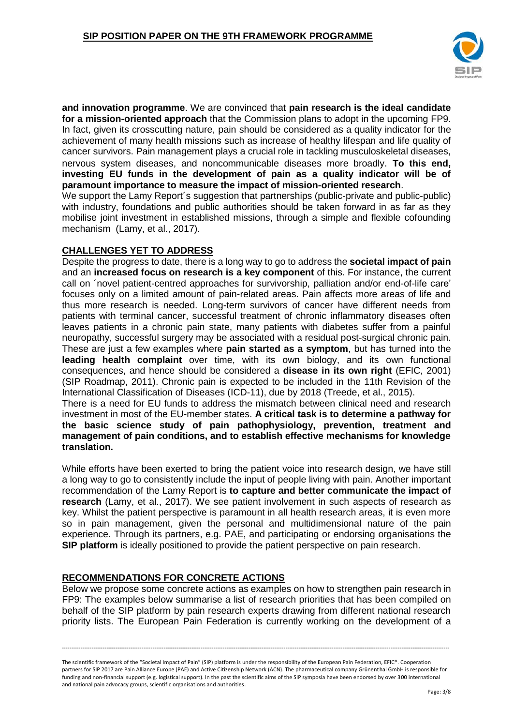

**and innovation programme**. We are convinced that **pain research is the ideal candidate for a mission-oriented approach** that the Commission plans to adopt in the upcoming FP9. In fact, given its crosscutting nature, pain should be considered as a quality indicator for the achievement of many health missions such as increase of healthy lifespan and life quality of cancer survivors. Pain management plays a crucial role in tackling musculoskeletal diseases, nervous system diseases, and noncommunicable diseases more broadly. **To this end, investing EU funds in the development of pain as a quality indicator will be of paramount importance to measure the impact of mission-oriented research**.

We support the Lamy Report's suggestion that partnerships (public-private and public-public) with industry, foundations and public authorities should be taken forward in as far as they mobilise joint investment in established missions, through a simple and flexible cofounding mechanism (Lamy, et al., 2017).

## **CHALLENGES YET TO ADDRESS**

Despite the progress to date, there is a long way to go to address the **societal impact of pain** and an **increased focus on research is a key component** of this. For instance, the current call on ´novel patient-centred approaches for survivorship, palliation and/or end-of-life care' focuses only on a limited amount of pain-related areas. Pain affects more areas of life and thus more research is needed. Long-term survivors of cancer have different needs from patients with terminal cancer, successful treatment of chronic inflammatory diseases often leaves patients in a chronic pain state, many patients with diabetes suffer from a painful neuropathy, successful surgery may be associated with a residual post-surgical chronic pain. These are just a few examples where **pain started as a symptom**, but has turned into the **leading health complaint** over time, with its own biology, and its own functional consequences, and hence should be considered a **disease in its own right** (EFIC, 2001) (SIP Roadmap, 2011). Chronic pain is expected to be included in the 11th Revision of the International Classification of Diseases (ICD-11), due by 2018 (Treede, et al., 2015).

There is a need for EU funds to address the mismatch between clinical need and research investment in most of the EU-member states. **A critical task is to determine a pathway for the basic science study of pain pathophysiology, prevention, treatment and management of pain conditions, and to establish effective mechanisms for knowledge translation.**

While efforts have been exerted to bring the patient voice into research design, we have still a long way to go to consistently include the input of people living with pain. Another important recommendation of the Lamy Report is **to capture and better communicate the impact of research** (Lamy, et al., 2017). We see patient involvement in such aspects of research as key. Whilst the patient perspective is paramount in all health research areas, it is even more so in pain management, given the personal and multidimensional nature of the pain experience. Through its partners, e.g. PAE, and participating or endorsing organisations the **SIP platform** is ideally positioned to provide the patient perspective on pain research.

# **RECOMMENDATIONS FOR CONCRETE ACTIONS**

Below we propose some concrete actions as examples on how to strengthen pain research in FP9: The examples below summarise a list of research priorities that has been compiled on behalf of the SIP platform by pain research experts drawing from different national research priority lists. The European Pain Federation is currently working on the development of a

The scientific framework of the "Societal Impact of Pain" (SIP) platform is under the responsibility of the European Pain Federation, EFIC®. Cooperation partners for SIP 2017 are Pain Alliance Europe (PAE) and Active Citizenship Network (ACN). The pharmaceutical company Grünenthal GmbH is responsible for funding and non-financial support (e.g. logistical support). In the past the scientific aims of the SIP symposia have been endorsed by over 300 international and national pain advocacy groups, scientific organisations and authorities.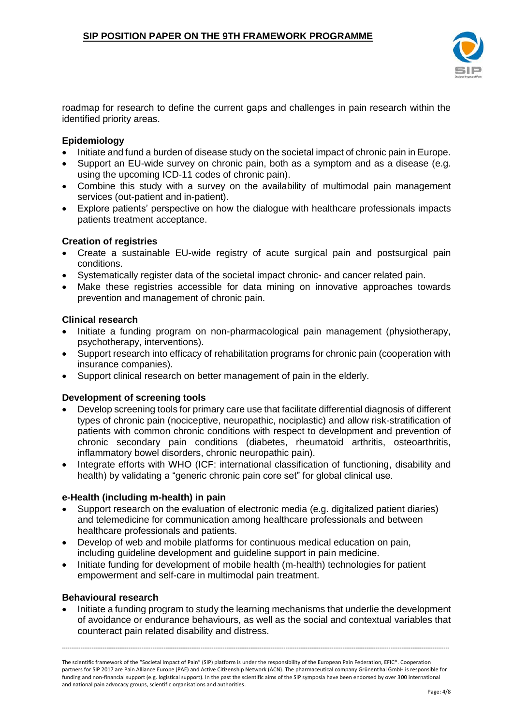

roadmap for research to define the current gaps and challenges in pain research within the identified priority areas.

## **Epidemiology**

- Initiate and fund a burden of disease study on the societal impact of chronic pain in Europe.
- Support an EU-wide survey on chronic pain, both as a symptom and as a disease (e.g. using the upcoming ICD-11 codes of chronic pain).
- Combine this study with a survey on the availability of multimodal pain management services (out-patient and in-patient).
- Explore patients' perspective on how the dialogue with healthcare professionals impacts patients treatment acceptance.

## **Creation of registries**

- Create a sustainable EU-wide registry of acute surgical pain and postsurgical pain conditions.
- Systematically register data of the societal impact chronic- and cancer related pain.
- Make these registries accessible for data mining on innovative approaches towards prevention and management of chronic pain.

### **Clinical research**

- Initiate a funding program on non-pharmacological pain management (physiotherapy, psychotherapy, interventions).
- Support research into efficacy of rehabilitation programs for chronic pain (cooperation with insurance companies).
- Support clinical research on better management of pain in the elderly.

### **Development of screening tools**

- Develop screening tools for primary care use that facilitate differential diagnosis of different types of chronic pain (nociceptive, neuropathic, nociplastic) and allow risk-stratification of patients with common chronic conditions with respect to development and prevention of chronic secondary pain conditions (diabetes, rheumatoid arthritis, osteoarthritis, inflammatory bowel disorders, chronic neuropathic pain).
- Integrate efforts with WHO (ICF: international classification of functioning, disability and health) by validating a "generic chronic pain core set" for global clinical use.

### **e-Health (including m-health) in pain**

- Support research on the evaluation of electronic media (e.g. digitalized patient diaries) and telemedicine for communication among healthcare professionals and between healthcare professionals and patients.
- Develop of web and mobile platforms for continuous medical education on pain, including guideline development and guideline support in pain medicine.
- Initiate funding for development of mobile health (m-health) technologies for patient empowerment and self-care in multimodal pain treatment.

### **Behavioural research**

• Initiate a funding program to study the learning mechanisms that underlie the development of avoidance or endurance behaviours, as well as the social and contextual variables that counteract pain related disability and distress.

The scientific framework of the "Societal Impact of Pain" (SIP) platform is under the responsibility of the European Pain Federation, EFIC®. Cooperation partners for SIP 2017 are Pain Alliance Europe (PAE) and Active Citizenship Network (ACN). The pharmaceutical company Grünenthal GmbH is responsible for funding and non-financial support (e.g. logistical support). In the past the scientific aims of the SIP symposia have been endorsed by over 300 international and national pain advocacy groups, scientific organisations and authorities.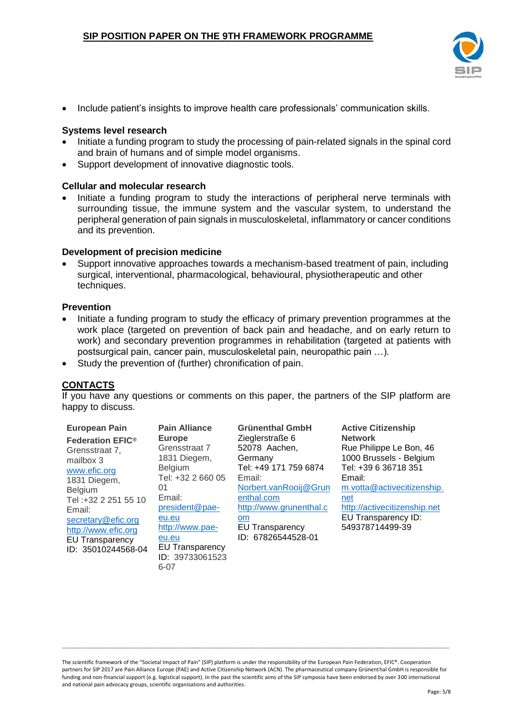

• Include patient's insights to improve health care professionals' communication skills.

#### **Systems level research**

- Initiate a funding program to study the processing of pain-related signals in the spinal cord and brain of humans and of simple model organisms.
- Support development of innovative diagnostic tools.

#### **Cellular and molecular research**

• Initiate a funding program to study the interactions of peripheral nerve terminals with surrounding tissue, the immune system and the vascular system, to understand the peripheral generation of pain signals in musculoskeletal, inflammatory or cancer conditions and its prevention.

#### **Development of precision medicine**

• Support innovative approaches towards a mechanism-based treatment of pain, including surgical, interventional, pharmacological, behavioural, physiotherapeutic and other techniques.

#### **Prevention**

- Initiate a funding program to study the efficacy of primary prevention programmes at the work place (targeted on prevention of back pain and headache, and on early return to work) and secondary prevention programmes in rehabilitation (targeted at patients with postsurgical pain, cancer pain, musculoskeletal pain, neuropathic pain …).
- Study the prevention of (further) chronification of pain.

6-07

# **CONTACTS**

If you have any questions or comments on this paper, the partners of the SIP platform are happy to discuss.

| <b>European Pain</b><br><b>Federation EFIC®</b><br>Grensstraat 7.<br>mailbox 3<br>www.efic.org<br>1831 Diegem,<br><b>Belgium</b><br>Tel: +32 2 251 55 10<br>Email:<br>secretary@efic.org<br>http://www.efic.org<br><b>EU Transparency</b><br>ID: 35010244568-04 | <b>Pain Alliance</b><br><b>Europe</b><br>Grensstraat 7<br>1831 Diegem,<br><b>Belgium</b><br>Tel: +32 2 660 05<br>01<br>Email:<br>president@pae-<br>eu.eu<br>http://www.pae-<br>eu.eu<br><b>EU Transparency</b> | <b>Grünenthal GmbH</b><br>Zieglerstraße 6<br>52078 Aachen,<br>Germany<br>Tel: +49 171 759 6874<br>Email:<br>Norbert.vanRooij@Grun<br>enthal.com<br>http://www.grunenthal.c<br><b>om</b><br><b>EU Transparency</b><br>ID: 67826544528-01 | <b>Active Citizenship</b><br><b>Network</b><br>Rue Philippe Le Bon, 46<br>1000 Brussels - Belgium<br>Tel: +39 6 36718 351<br>Email:<br>m.votta@activecitizenship.<br>net<br>http://activecitizenship.net<br>EU Transparency ID:<br>549378714499-39 |
|-----------------------------------------------------------------------------------------------------------------------------------------------------------------------------------------------------------------------------------------------------------------|----------------------------------------------------------------------------------------------------------------------------------------------------------------------------------------------------------------|-----------------------------------------------------------------------------------------------------------------------------------------------------------------------------------------------------------------------------------------|----------------------------------------------------------------------------------------------------------------------------------------------------------------------------------------------------------------------------------------------------|
|                                                                                                                                                                                                                                                                 | ID: 39733061523                                                                                                                                                                                                |                                                                                                                                                                                                                                         |                                                                                                                                                                                                                                                    |

The scientific framework of the "Societal Impact of Pain" (SIP) platform is under the responsibility of the European Pain Federation, EFIC®. Cooperation partners for SIP 2017 are Pain Alliance Europe (PAE) and Active Citizenship Network (ACN). The pharmaceutical company Grünenthal GmbH is responsible for funding and non-financial support (e.g. logistical support). In the past the scientific aims of the SIP symposia have been endorsed by over 300 international and national pain advocacy groups, scientific organisations and authorities.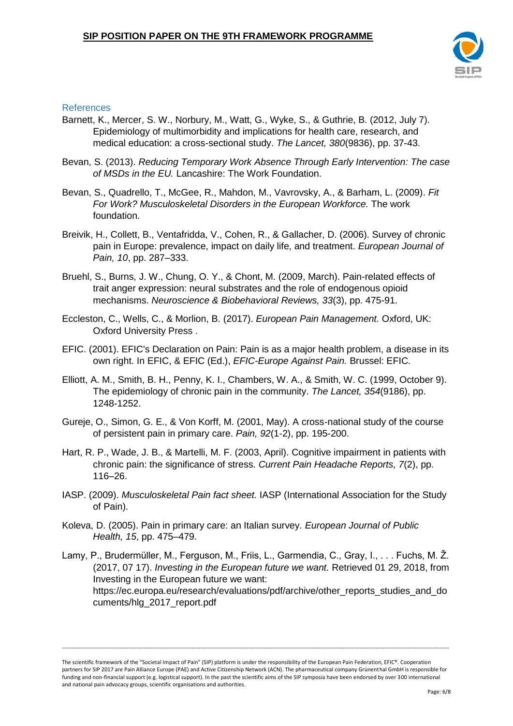

### References

- Barnett, K., Mercer, S. W., Norbury, M., Watt, G., Wyke, S., & Guthrie, B. (2012, July 7). Epidemiology of multimorbidity and implications for health care, research, and medical education: a cross-sectional study. *The Lancet, 380*(9836), pp. 37-43.
- Bevan, S. (2013). *Reducing Temporary Work Absence Through Early Intervention: The case of MSDs in the EU.* Lancashire: The Work Foundation.
- Bevan, S., Quadrello, T., McGee, R., Mahdon, M., Vavrovsky, A., & Barham, L. (2009). *Fit For Work? Musculoskeletal Disorders in the European Workforce.* The work foundation.
- Breivik, H., Collett, B., Ventafridda, V., Cohen, R., & Gallacher, D. (2006). Survey of chronic pain in Europe: prevalence, impact on daily life, and treatment. *European Journal of Pain, 10*, pp. 287–333.
- Bruehl, S., Burns, J. W., Chung, O. Y., & Chont, M. (2009, March). Pain-related effects of trait anger expression: neural substrates and the role of endogenous opioid mechanisms. *Neuroscience & Biobehavioral Reviews, 33*(3), pp. 475-91.
- Eccleston, C., Wells, C., & Morlion, B. (2017). *European Pain Management.* Oxford, UK: Oxford University Press .
- EFIC. (2001). EFIC's Declaration on Pain: Pain is as a major health problem, a disease in its own right. In EFIC, & EFIC (Ed.), *EFIC-Europe Against Pain.* Brussel: EFIC.
- Elliott, A. M., Smith, B. H., Penny, K. I., Chambers, W. A., & Smith, W. C. (1999, October 9). The epidemiology of chronic pain in the community. *The Lancet, 354*(9186), pp. 1248-1252.
- Gureje, O., Simon, G. E., & Von Korff, M. (2001, May). A cross-national study of the course of persistent pain in primary care. *Pain, 92*(1-2), pp. 195-200.
- Hart, R. P., Wade, J. B., & Martelli, M. F. (2003, April). Cognitive impairment in patients with chronic pain: the significance of stress. *Current Pain Headache Reports, 7*(2), pp. 116–26.
- IASP. (2009). *Musculoskeletal Pain fact sheet.* IASP (International Association for the Study of Pain).
- Koleva, D. (2005). Pain in primary care: an Italian survey. *European Journal of Public Health, 15*, pp. 475–479.
- Lamy, P., Brudermüller, M., Ferguson, M., Friis, L., Garmendia, C., Gray, I., . . . Fuchs, M. Ž. (2017, 07 17). *Investing in the European future we want.* Retrieved 01 29, 2018, from Investing in the European future we want: https://ec.europa.eu/research/evaluations/pdf/archive/other\_reports\_studies\_and\_do cuments/hlg\_2017\_report.pdf

The scientific framework of the "Societal Impact of Pain" (SIP) platform is under the responsibility of the European Pain Federation, EFIC®. Cooperation partners for SIP 2017 are Pain Alliance Europe (PAE) and Active Citizenship Network (ACN). The pharmaceutical company Grünenthal GmbH is responsible for funding and non-financial support (e.g. logistical support). In the past the scientific aims of the SIP symposia have been endorsed by over 300 international and national pain advocacy groups, scientific organisations and authorities.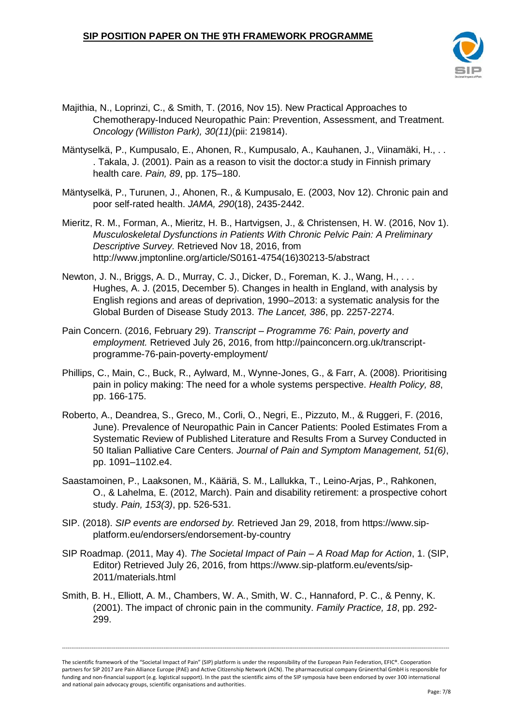

- Majithia, N., Loprinzi, C., & Smith, T. (2016, Nov 15). New Practical Approaches to Chemotherapy-Induced Neuropathic Pain: Prevention, Assessment, and Treatment. *Oncology (Williston Park), 30(11)*(pii: 219814).
- Mäntyselkä, P., Kumpusalo, E., Ahonen, R., Kumpusalo, A., Kauhanen, J., Viinamäki, H., . . . Takala, J. (2001). Pain as a reason to visit the doctor:a study in Finnish primary health care. *Pain, 89*, pp. 175–180.
- Mäntyselkä, P., Turunen, J., Ahonen, R., & Kumpusalo, E. (2003, Nov 12). Chronic pain and poor self-rated health. *JAMA, 290*(18), 2435-2442.
- Mieritz, R. M., Forman, A., Mieritz, H. B., Hartvigsen, J., & Christensen, H. W. (2016, Nov 1). *Musculoskeletal Dysfunctions in Patients With Chronic Pelvic Pain: A Preliminary Descriptive Survey.* Retrieved Nov 18, 2016, from http://www.jmptonline.org/article/S0161-4754(16)30213-5/abstract
- Newton, J. N., Briggs, A. D., Murray, C. J., Dicker, D., Foreman, K. J., Wang, H., . . . Hughes, A. J. (2015, December 5). Changes in health in England, with analysis by English regions and areas of deprivation, 1990–2013: a systematic analysis for the Global Burden of Disease Study 2013. *The Lancet, 386*, pp. 2257-2274.
- Pain Concern. (2016, February 29). *Transcript – Programme 76: Pain, poverty and employment.* Retrieved July 26, 2016, from http://painconcern.org.uk/transcriptprogramme-76-pain-poverty-employment/
- Phillips, C., Main, C., Buck, R., Aylward, M., Wynne-Jones, G., & Farr, A. (2008). Prioritising pain in policy making: The need for a whole systems perspective. *Health Policy, 88*, pp. 166-175.
- Roberto, A., Deandrea, S., Greco, M., Corli, O., Negri, E., Pizzuto, M., & Ruggeri, F. (2016, June). Prevalence of Neuropathic Pain in Cancer Patients: Pooled Estimates From a Systematic Review of Published Literature and Results From a Survey Conducted in 50 Italian Palliative Care Centers. *Journal of Pain and Symptom Management, 51(6)*, pp. 1091–1102.e4.
- Saastamoinen, P., Laaksonen, M., Kääriä, S. M., Lallukka, T., Leino-Arjas, P., Rahkonen, O., & Lahelma, E. (2012, March). Pain and disability retirement: a prospective cohort study. *Pain, 153(3)*, pp. 526-531.
- SIP. (2018). *SIP events are endorsed by.* Retrieved Jan 29, 2018, from https://www.sipplatform.eu/endorsers/endorsement-by-country
- SIP Roadmap. (2011, May 4). *The Societal Impact of Pain – A Road Map for Action*, 1. (SIP, Editor) Retrieved July 26, 2016, from https://www.sip-platform.eu/events/sip-2011/materials.html
- Smith, B. H., Elliott, A. M., Chambers, W. A., Smith, W. C., Hannaford, P. C., & Penny, K. (2001). The impact of chronic pain in the community. *Family Practice, 18*, pp. 292- 299.

The scientific framework of the "Societal Impact of Pain" (SIP) platform is under the responsibility of the European Pain Federation, EFIC®. Cooperation partners for SIP 2017 are Pain Alliance Europe (PAE) and Active Citizenship Network (ACN). The pharmaceutical company Grünenthal GmbH is responsible for funding and non-financial support (e.g. logistical support). In the past the scientific aims of the SIP symposia have been endorsed by over 300 international and national pain advocacy groups, scientific organisations and authorities.